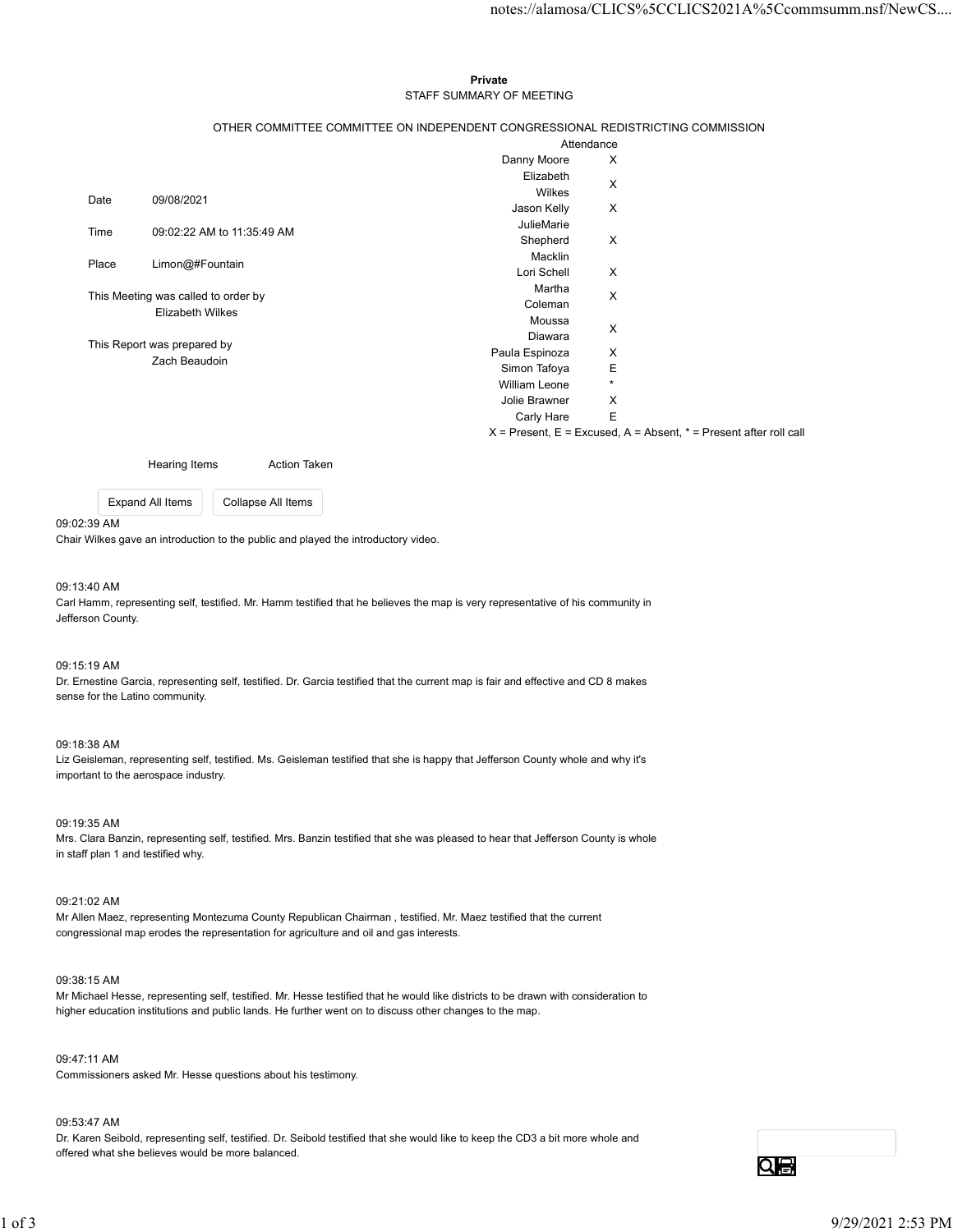## Private **Private** and *Private* and *Private* and *Private* and *Private* and *Private* and *Private* and *Private* and *Private* and *Private* and *Private* and *Private* and *Private* and *Private* and *Private* and *Pri* STAFF SUMMARY OF MEETING

| notes://alamosa/CLICS%5CCLICS2021A%5Ccommsumm.nsf/NewCS<br>Private<br>STAFF SUMMARY OF MEETING<br>OTHER COMMITTEE COMMITTEE ON INDEPENDENT CONGRESSIONAL REDISTRICTING COMMISSION<br>Attendance<br>Danny Moore<br>X<br>Elizabeth<br>$\boldsymbol{\mathsf{X}}$<br>Wilkes<br>09/08/2021<br>Date<br>X<br>Jason Kelly<br>JulieMarie<br>09:02:22 AM to 11:35:49 AM<br>Time<br>$\boldsymbol{\mathsf{X}}$<br>Shepherd<br>Macklin<br>Limon@#Fountain<br>Place<br>$\boldsymbol{\mathsf{X}}$<br>Lori Schell<br>Martha<br>This Meeting was called to order by<br>$\boldsymbol{\mathsf{X}}$<br>Coleman<br>Elizabeth Wilkes<br>Moussa<br>X<br>Diawara<br>This Report was prepared by<br>Paula Espinoza<br>X<br>Zach Beaudoin<br>$\mathsf E$<br>Simon Tafoya<br>$^\star$<br><b>William Leone</b><br>X<br>Jolie Brawner<br>E<br>Carly Hare |          |                    |  |
|-----------------------------------------------------------------------------------------------------------------------------------------------------------------------------------------------------------------------------------------------------------------------------------------------------------------------------------------------------------------------------------------------------------------------------------------------------------------------------------------------------------------------------------------------------------------------------------------------------------------------------------------------------------------------------------------------------------------------------------------------------------------------------------------------------------------------------|----------|--------------------|--|
|                                                                                                                                                                                                                                                                                                                                                                                                                                                                                                                                                                                                                                                                                                                                                                                                                             |          |                    |  |
|                                                                                                                                                                                                                                                                                                                                                                                                                                                                                                                                                                                                                                                                                                                                                                                                                             |          |                    |  |
|                                                                                                                                                                                                                                                                                                                                                                                                                                                                                                                                                                                                                                                                                                                                                                                                                             |          |                    |  |
|                                                                                                                                                                                                                                                                                                                                                                                                                                                                                                                                                                                                                                                                                                                                                                                                                             |          |                    |  |
|                                                                                                                                                                                                                                                                                                                                                                                                                                                                                                                                                                                                                                                                                                                                                                                                                             |          |                    |  |
|                                                                                                                                                                                                                                                                                                                                                                                                                                                                                                                                                                                                                                                                                                                                                                                                                             |          |                    |  |
|                                                                                                                                                                                                                                                                                                                                                                                                                                                                                                                                                                                                                                                                                                                                                                                                                             |          |                    |  |
|                                                                                                                                                                                                                                                                                                                                                                                                                                                                                                                                                                                                                                                                                                                                                                                                                             |          |                    |  |
|                                                                                                                                                                                                                                                                                                                                                                                                                                                                                                                                                                                                                                                                                                                                                                                                                             |          |                    |  |
|                                                                                                                                                                                                                                                                                                                                                                                                                                                                                                                                                                                                                                                                                                                                                                                                                             |          |                    |  |
|                                                                                                                                                                                                                                                                                                                                                                                                                                                                                                                                                                                                                                                                                                                                                                                                                             |          |                    |  |
|                                                                                                                                                                                                                                                                                                                                                                                                                                                                                                                                                                                                                                                                                                                                                                                                                             |          |                    |  |
|                                                                                                                                                                                                                                                                                                                                                                                                                                                                                                                                                                                                                                                                                                                                                                                                                             |          |                    |  |
|                                                                                                                                                                                                                                                                                                                                                                                                                                                                                                                                                                                                                                                                                                                                                                                                                             |          |                    |  |
|                                                                                                                                                                                                                                                                                                                                                                                                                                                                                                                                                                                                                                                                                                                                                                                                                             |          |                    |  |
|                                                                                                                                                                                                                                                                                                                                                                                                                                                                                                                                                                                                                                                                                                                                                                                                                             |          |                    |  |
|                                                                                                                                                                                                                                                                                                                                                                                                                                                                                                                                                                                                                                                                                                                                                                                                                             |          |                    |  |
|                                                                                                                                                                                                                                                                                                                                                                                                                                                                                                                                                                                                                                                                                                                                                                                                                             |          |                    |  |
|                                                                                                                                                                                                                                                                                                                                                                                                                                                                                                                                                                                                                                                                                                                                                                                                                             |          |                    |  |
|                                                                                                                                                                                                                                                                                                                                                                                                                                                                                                                                                                                                                                                                                                                                                                                                                             |          |                    |  |
|                                                                                                                                                                                                                                                                                                                                                                                                                                                                                                                                                                                                                                                                                                                                                                                                                             |          |                    |  |
|                                                                                                                                                                                                                                                                                                                                                                                                                                                                                                                                                                                                                                                                                                                                                                                                                             |          |                    |  |
|                                                                                                                                                                                                                                                                                                                                                                                                                                                                                                                                                                                                                                                                                                                                                                                                                             |          |                    |  |
|                                                                                                                                                                                                                                                                                                                                                                                                                                                                                                                                                                                                                                                                                                                                                                                                                             |          |                    |  |
|                                                                                                                                                                                                                                                                                                                                                                                                                                                                                                                                                                                                                                                                                                                                                                                                                             |          |                    |  |
|                                                                                                                                                                                                                                                                                                                                                                                                                                                                                                                                                                                                                                                                                                                                                                                                                             |          |                    |  |
|                                                                                                                                                                                                                                                                                                                                                                                                                                                                                                                                                                                                                                                                                                                                                                                                                             |          |                    |  |
|                                                                                                                                                                                                                                                                                                                                                                                                                                                                                                                                                                                                                                                                                                                                                                                                                             |          |                    |  |
|                                                                                                                                                                                                                                                                                                                                                                                                                                                                                                                                                                                                                                                                                                                                                                                                                             |          |                    |  |
|                                                                                                                                                                                                                                                                                                                                                                                                                                                                                                                                                                                                                                                                                                                                                                                                                             |          |                    |  |
|                                                                                                                                                                                                                                                                                                                                                                                                                                                                                                                                                                                                                                                                                                                                                                                                                             |          |                    |  |
|                                                                                                                                                                                                                                                                                                                                                                                                                                                                                                                                                                                                                                                                                                                                                                                                                             |          |                    |  |
|                                                                                                                                                                                                                                                                                                                                                                                                                                                                                                                                                                                                                                                                                                                                                                                                                             |          |                    |  |
| $X =$ Present, $E =$ Excused, $A =$ Absent, $* =$ Present after roll call                                                                                                                                                                                                                                                                                                                                                                                                                                                                                                                                                                                                                                                                                                                                                   |          |                    |  |
|                                                                                                                                                                                                                                                                                                                                                                                                                                                                                                                                                                                                                                                                                                                                                                                                                             |          |                    |  |
| Hearing Items<br><b>Action Taken</b>                                                                                                                                                                                                                                                                                                                                                                                                                                                                                                                                                                                                                                                                                                                                                                                        |          |                    |  |
| Expand All Items                                                                                                                                                                                                                                                                                                                                                                                                                                                                                                                                                                                                                                                                                                                                                                                                            |          |                    |  |
|                                                                                                                                                                                                                                                                                                                                                                                                                                                                                                                                                                                                                                                                                                                                                                                                                             |          |                    |  |
| ir Wilkes gave an introduction to the public and played the introductory video.                                                                                                                                                                                                                                                                                                                                                                                                                                                                                                                                                                                                                                                                                                                                             |          | Collapse All Items |  |
|                                                                                                                                                                                                                                                                                                                                                                                                                                                                                                                                                                                                                                                                                                                                                                                                                             | 02:39 AM |                    |  |

# 09:02:39 AM

Chair Wilkes gave an introduction to the public and played the introductory video.

## 09:13:40 AM

Carl Hamm, representing self, testified. Mr. Hamm testified that he believes the map is very representative of his community in Jefferson County.

## 09:15:19 AM

Dr. Ernestine Garcia, representing self, testified. Dr. Garcia testified that the current map is fair and effective and CD 8 makes sense for the Latino community.

### 09:18:38 AM

Liz Geisleman, representing self, testified. Ms. Geisleman testified that she is happy that Jefferson County whole and why it's important to the aerospace industry.

09:19:35 AM

Mrs. Clara Banzin, representing self, testified. Mrs. Banzin testified that she was pleased to hear that Jefferson County is whole in staff plan 1 and testified why. 04:19:26 AM<br>Mrs. Clara Banzin, representing self, testified. Mrs. Banzin testified that she was pleased to hear that Jefferson County is whole<br>In staff plan 1 and testified why.<br>In staff plan 1 and testified why.<br>Name Mar

## 09:21:02 AM

Mr Allen Maez, representing Montezuma County Republican Chairman , testified. Mr. Maez testified that the current congressional map erodes the representation for agriculture and oil and gas interests.

#### 09:38:15 AM

Mr Michael Hesse, representing self, testified. Mr. Hesse testified that he would like districts to be drawn with consideration to higher education institutions and public lands. He further went on to discuss other changes to the map.

09:47:11 AM Commissioners asked Mr. Hesse questions about his testimony.

## 09:53:47 AM

Dr. Karen Seibold, representing self, testified. Dr. Seibold testified that she would like to keep the CD3 a bit more whole and offered what she believes would be more balanced.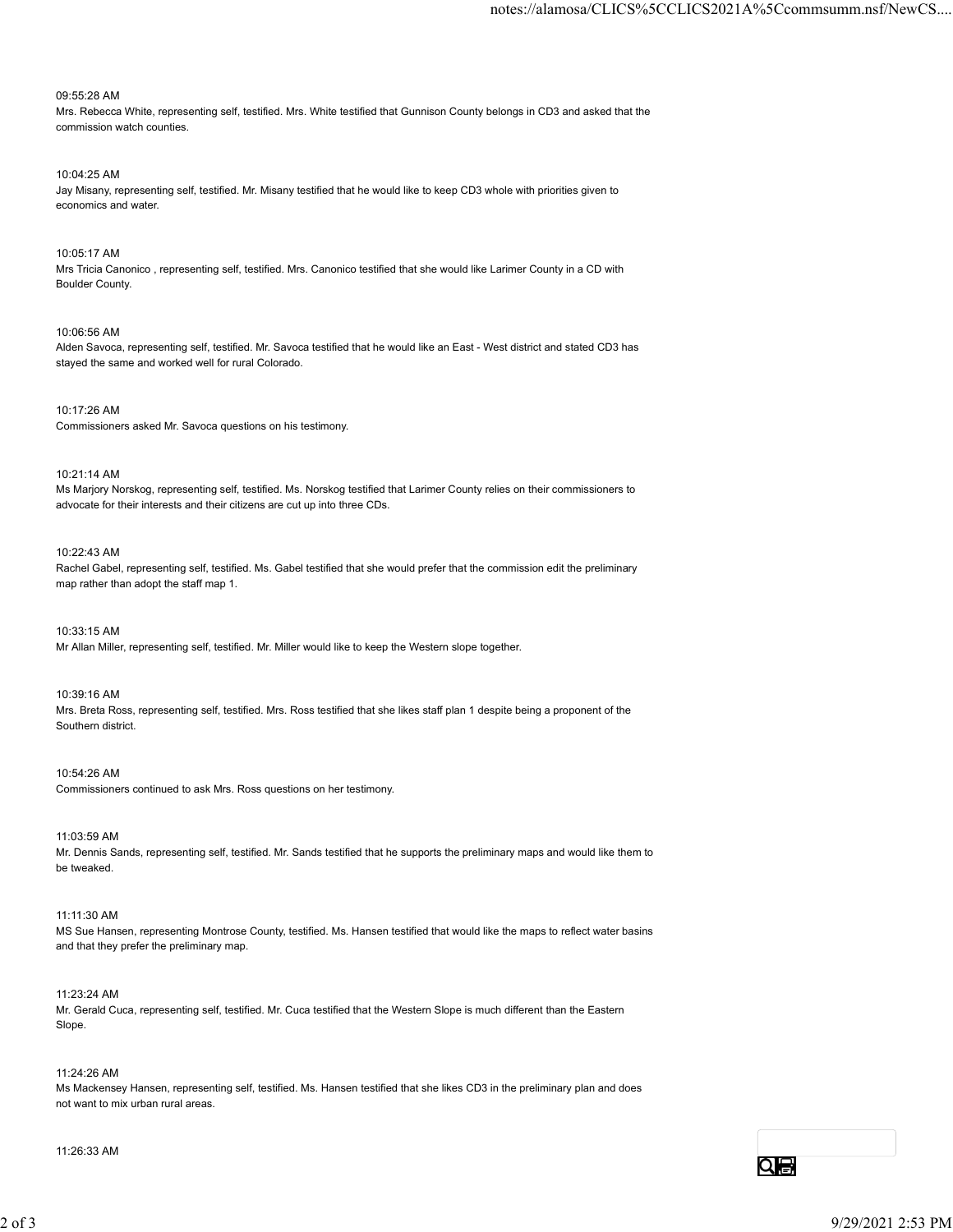09:55:28 AM

Mrs. Rebecca White, representing self, testified. Mrs. White testified that Gunnison County belongs in CD3 and asked that the commission watch counties.

10:04:25 AM Jay Misany, representing self, testified. Mr. Misany testified that he would like to keep CD3 whole with priorities given to economics and water.

10:05:17 AM Mrs Tricia Canonico , representing self, testified. Mrs. Canonico testified that she would like Larimer County in a CD with Boulder County.

10:06:56 AM Alden Savoca, representing self, testified. Mr. Savoca testified that he would like an East - West district and stated CD3 has stayed the same and worked well for rural Colorado.

10:17:26 AM Commissioners asked Mr. Savoca questions on his testimony.

10:21:14 AM

Ms Marjory Norskog, representing self, testified. Ms. Norskog testified that Larimer County relies on their commissioners to advocate for their interests and their citizens are cut up into three CDs.

10:22:43 AM

Rachel Gabel, representing self, testified. Ms. Gabel testified that she would prefer that the commission edit the preliminary map rather than adopt the staff map 1.

10:33:15 AM Mr Allan Miller, representing self, testified. Mr. Miller would like to keep the Western slope together.

10:39:16 AM Mrs. Breta Ross, representing self, testified. Mrs. Ross testified that she likes staff plan 1 despite being a proponent of the Southern district.

10:54:26 AM Commissioners continued to ask Mrs. Ross questions on her testimony.

11:03:59 AM Mr. Dennis Sands, representing self, testified. Mr. Sands testified that he supports the preliminary maps and would like them to be tweaked. 11.03.59 AM<br>
M. Demas Sands, representing self, testified, Mr. Sands testified that he supports the preliminary maps and would like them to<br>
the Demas Sand<br>
11:11:30 AM<br>
MS Sue Hanten, representing self, testified, Mr. Cuc

11:11:30 AM MS Sue Hansen, representing Montrose County, testified. Ms. Hansen testified that would like the maps to reflect water basins and that they prefer the preliminary map.

11:23:24 AM Mr. Gerald Cuca, representing self, testified. Mr. Cuca testified that the Western Slope is much different than the Eastern Slope.

11:24:26 AM

Ms Mackensey Hansen, representing self, testified. Ms. Hansen testified that she likes CD3 in the preliminary plan and does not want to mix urban rural areas.

11:26:33 AM